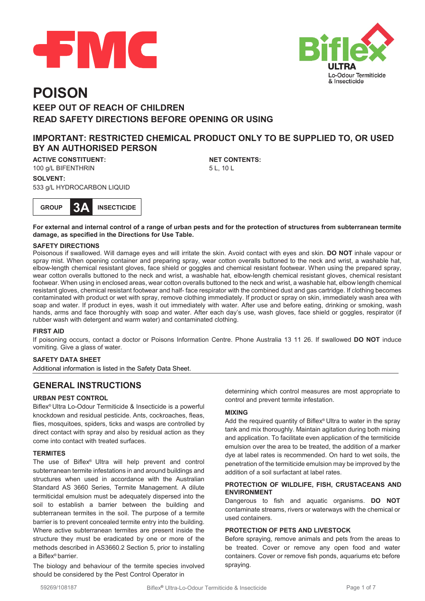



# **POISON KEEP OUT OF REACH OF CHILDREN READ SAFETY DIRECTIONS BEFORE OPENING OR USING**

# **IMPORTANT: RESTRICTED CHEMICAL PRODUCT ONLY TO BE SUPPLIED TO, OR USED BY AN AUTHORISED PERSON**

**ACTIVE CONSTITUENT:** 100 g/L BIFENTHRIN

**NET CONTENTS:** 5 L, 10 L

**SOLVENT:** 533 g/L HYDROCARBON LIQUID



**For external and internal control of a range of urban pests and for the protection of structures from subterranean termite damage, as specified in the Directions for Use Table.**

#### **SAFETY DIRECTIONS**

Poisonous if swallowed. Will damage eyes and will irritate the skin. Avoid contact with eyes and skin. **DO NOT** inhale vapour or spray mist. When opening container and preparing spray, wear cotton overalls buttoned to the neck and wrist, a washable hat, elbow-length chemical resistant gloves, face shield or goggles and chemical resistant footwear. When using the prepared spray, wear cotton overalls buttoned to the neck and wrist, a washable hat, elbow-length chemical resistant gloves, chemical resistant footwear. When using in enclosed areas, wear cotton overalls buttoned to the neck and wrist, a washable hat, elbow length chemical resistant gloves, chemical resistant footwear and half- face respirator with the combined dust and gas cartridge. If clothing becomes contaminated with product or wet with spray, remove clothing immediately. If product or spray on skin, immediately wash area with soap and water. If product in eyes, wash it out immediately with water. After use and before eating, drinking or smoking, wash hands, arms and face thoroughly with soap and water. After each day's use, wash gloves, face shield or goggles, respirator (if rubber wash with detergent and warm water) and contaminated clothing.

### **FIRST AID**

If poisoning occurs, contact a doctor or Poisons Information Centre. Phone Australia 13 11 26. If swallowed **DO NOT** induce vomiting. Give a glass of water.

### **SAFETY DATA SHEET**

Additional information is listed in the Safety Data Sheet.

### **GENERAL INSTRUCTIONS**

### **URBAN PEST CONTROL**

Biflex® Ultra Lo-Odour Termiticide & Insecticide is a powerful knockdown and residual pesticide. Ants, cockroaches, fleas, flies, mosquitoes, spiders, ticks and wasps are controlled by direct contact with spray and also by residual action as they come into contact with treated surfaces.

#### **TERMITES**

The use of Biflex® Ultra will help prevent and control subterranean termite infestations in and around buildings and structures when used in accordance with the Australian Standard AS 3660 Series, Termite Management. A dilute termiticidal emulsion must be adequately dispersed into the soil to establish a barrier between the building and subterranean termites in the soil. The purpose of a termite barrier is to prevent concealed termite entry into the building. Where active subterranean termites are present inside the structure they must be eradicated by one or more of the methods described in AS3660.2 Section 5, prior to installing a Biflex® barrier.

The biology and behaviour of the termite species involved should be considered by the Pest Control Operator in

determining which control measures are most appropriate to control and prevent termite infestation.

#### **MIXING**

Add the required quantity of Biflex® Ultra to water in the spray tank and mix thoroughly. Maintain agitation during both mixing and application. To facilitate even application of the termiticide emulsion over the area to be treated, the addition of a marker dye at label rates is recommended. On hard to wet soils, the penetration of the termiticide emulsion may be improved by the addition of a soil surfactant at label rates.

#### **PROTECTION OF WILDLIFE, FISH, CRUSTACEANS AND ENVIRONMENT**

Dangerous to fish and aquatic organisms. **DO NOT** contaminate streams, rivers or waterways with the chemical or used containers.

#### **PROTECTION OF PETS AND LIVESTOCK**

Before spraying, remove animals and pets from the areas to be treated. Cover or remove any open food and water containers. Cover or remove fish ponds, aquariums etc before spraying.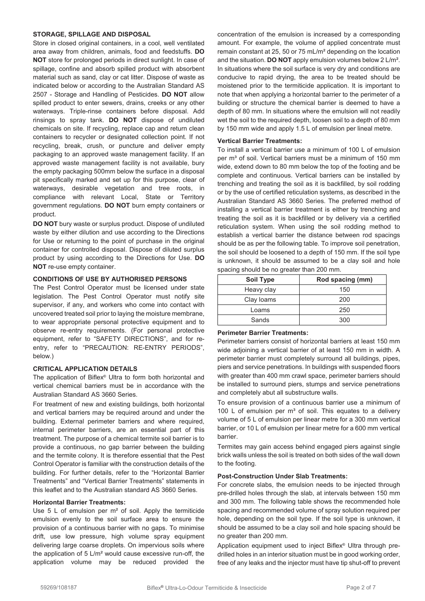#### **STORAGE, SPILLAGE AND DISPOSAL**

Store in closed original containers, in a cool, well ventilated area away from children, animals, food and feedstuffs. **DO NOT** store for prolonged periods in direct sunlight. In case of spillage, confine and absorb spilled product with absorbent material such as sand, clay or cat litter. Dispose of waste as indicated below or according to the Australian Standard AS 2507 - Storage and Handling of Pesticides. **DO NOT** allow spilled product to enter sewers, drains, creeks or any other waterways. Triple-rinse containers before disposal. Add rinsings to spray tank. **DO NOT** dispose of undiluted chemicals on site. If recycling, replace cap and return clean containers to recycler or designated collection point. If not recycling, break, crush, or puncture and deliver empty packaging to an approved waste management facility. If an approved waste management facility is not available, bury the empty packaging 500mm below the surface in a disposal pit specifically marked and set up for this purpose, clear of waterways, desirable vegetation and tree roots, in compliance with relevant Local, State or Territory government regulations. **DO NOT** burn empty containers or product.

**DO NOT** bury waste or surplus product. Dispose of undiluted waste by either dilution and use according to the Directions for Use or returning to the point of purchase in the original container for controlled disposal. Dispose of diluted surplus product by using according to the Directions for Use. **DO NOT** re-use empty container.

#### **CONDITIONS OF USE BY AUTHORISED PERSONS**

The Pest Control Operator must be licensed under state legislation. The Pest Control Operator must notify site supervisor, if any, and workers who come into contact with uncovered treated soil prior to laying the moisture membrane, to wear appropriate personal protective equipment and to observe re-entry requirements. (For personal protective equipment, refer to "SAFETY DIRECTIONS", and for reentry, refer to "PRECAUTION: RE-ENTRY PERIODS", below.)

#### **CRITICAL APPLICATION DETAILS**

The application of Biflex® Ultra to form both horizontal and vertical chemical barriers must be in accordance with the Australian Standard AS 3660 Series.

For treatment of new and existing buildings, both horizontal and vertical barriers may be required around and under the building. External perimeter barriers and where required, internal perimeter barriers, are an essential part of this treatment. The purpose of a chemical termite soil barrier is to provide a continuous, no gap barrier between the building and the termite colony. It is therefore essential that the Pest Control Operator is familiar with the construction details of the building. For further details, refer to the "Horizontal Barrier Treatments" and "Vertical Barrier Treatments" statements in this leaflet and to the Australian standard AS 3660 Series.

#### **Horizontal Barrier Treatments:**

Use 5 L of emulsion per m² of soil. Apply the termiticide emulsion evenly to the soil surface area to ensure the provision of a continuous barrier with no gaps. To minimise drift, use low pressure, high volume spray equipment delivering large coarse droplets. On impervious soils where the application of 5 L/m² would cause excessive run-off, the application volume may be reduced provided the

concentration of the emulsion is increased by a corresponding amount. For example, the volume of applied concentrate must remain constant at 25, 50 or 75 mL/m² depending on the location and the situation. **DO NOT** apply emulsion volumes below 2 L/m². In situations where the soil surface is very dry and conditions are conducive to rapid drying, the area to be treated should be moistened prior to the termiticide application. It is important to note that when applying a horizontal barrier to the perimeter of a building or structure the chemical barrier is deemed to have a depth of 80 mm. In situations where the emulsion will not readily wet the soil to the required depth, loosen soil to a depth of 80 mm by 150 mm wide and apply 1.5 L of emulsion per lineal metre.

#### **Vertical Barrier Treatments:**

To install a vertical barrier use a minimum of 100 L of emulsion per m<sup>3</sup> of soil. Vertical barriers must be a minimum of 150 mm wide, extend down to 80 mm below the top of the footing and be complete and continuous. Vertical barriers can be installed by trenching and treating the soil as it is backfilled, by soil rodding or by the use of certified reticulation systems, as described in the Australian Standard AS 3660 Series. The preferred method of installing a vertical barrier treatment is either by trenching and treating the soil as it is backfilled or by delivery via a certified reticulation system. When using the soil rodding method to establish a vertical barrier the distance between rod spacings should be as per the following table. To improve soil penetration, the soil should be loosened to a depth of 150 mm. If the soil type is unknown, it should be assumed to be a clay soil and hole spacing should be no greater than 200 mm.

| <b>Soil Type</b> | Rod spacing (mm) |
|------------------|------------------|
| Heavy clay       | 150              |
| Clay loams       | 200              |
| Loams            | 250              |
| Sands            | 300              |

#### **Perimeter Barrier Treatments:**

Perimeter barriers consist of horizontal barriers at least 150 mm wide adjoining a vertical barrier of at least 150 mm in width. A perimeter barrier must completely surround all buildings, pipes, piers and service penetrations. In buildings with suspended floors with greater than 400 mm crawl space, perimeter barriers should be installed to surround piers, stumps and service penetrations and completely abut all substructure walls.

To ensure provision of a continuous barrier use a minimum of 100 L of emulsion per  $m<sup>3</sup>$  of soil. This equates to a delivery volume of 5 L of emulsion per linear metre for a 300 mm vertical barrier, or 10 L of emulsion per linear metre for a 600 mm vertical barrier.

Termites may gain access behind engaged piers against single brick walls unless the soil is treated on both sides of the wall down to the footing.

#### **Post-Construction Under Slab Treatments:**

For concrete slabs, the emulsion needs to be injected through pre-drilled holes through the slab, at intervals between 150 mm and 300 mm. The following table shows the recommended hole spacing and recommended volume of spray solution required per hole, depending on the soil type. If the soil type is unknown, it should be assumed to be a clay soil and hole spacing should be no greater than 200 mm.

Application equipment used to inject Biflex® Ultra through predrilled holes in an interior situation must be in good working order, free of any leaks and the injector must have tip shut-off to prevent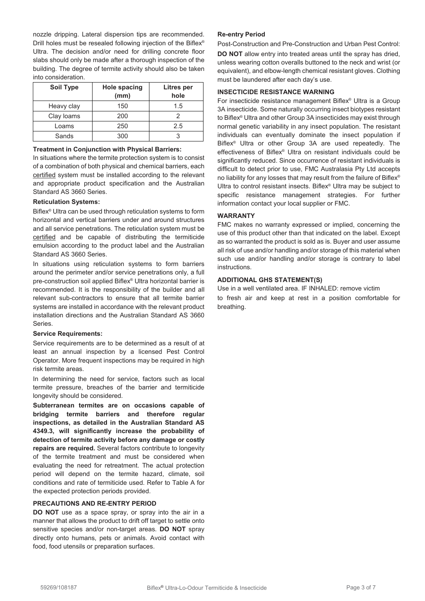nozzle dripping. Lateral dispersion tips are recommended. Drill holes must be resealed following injection of the Biflex® Ultra. The decision and/or need for drilling concrete floor slabs should only be made after a thorough inspection of the building. The degree of termite activity should also be taken into consideration.

| <b>Soil Type</b> | <b>Hole spacing</b><br>(mm) | Litres per<br>hole |
|------------------|-----------------------------|--------------------|
| Heavy clay       | 150                         | 1.5                |
| Clay Ioams       | 200                         |                    |
| Loams            | 250                         | 2.5                |
| Sands            | 300                         |                    |

### **Treatment in Conjunction with Physical Barriers:**

In situations where the termite protection system is to consist of a combination of both physical and chemical barriers, each certified system must be installed according to the relevant and appropriate product specification and the Australian Standard AS 3660 Series.

#### **Reticulation Systems:**

Biflex® Ultra can be used through reticulation systems to form horizontal and vertical barriers under and around structures and all service penetrations. The reticulation system must be certified and be capable of distributing the termiticide emulsion according to the product label and the Australian Standard AS 3660 Series.

In situations using reticulation systems to form barriers around the perimeter and/or service penetrations only, a full pre-construction soil applied Biflex® Ultra horizontal barrier is recommended. It is the responsibility of the builder and all relevant sub-contractors to ensure that all termite barrier systems are installed in accordance with the relevant product installation directions and the Australian Standard AS 3660 Series.

#### **Service Requirements:**

Service requirements are to be determined as a result of at least an annual inspection by a licensed Pest Control Operator. More frequent inspections may be required in high risk termite areas.

In determining the need for service, factors such as local termite pressure, breaches of the barrier and termiticide longevity should be considered.

**Subterranean termites are on occasions capable of bridging termite barriers and therefore regular inspections, as detailed in the Australian Standard AS 4349.3, will significantly increase the probability of detection of termite activity before any damage or costly repairs are required.** Several factors contribute to longevity of the termite treatment and must be considered when evaluating the need for retreatment. The actual protection period will depend on the termite hazard, climate, soil conditions and rate of termiticide used. Refer to Table A for the expected protection periods provided.

### **PRECAUTIONS AND RE-ENTRY PERIOD**

**DO NOT** use as a space spray, or spray into the air in a manner that allows the product to drift off target to settle onto sensitive species and/or non-target areas. **DO NOT** spray directly onto humans, pets or animals. Avoid contact with food, food utensils or preparation surfaces.

#### **Re-entry Period**

Post-Construction and Pre-Construction and Urban Pest Control: **DO NOT** allow entry into treated areas until the spray has dried, unless wearing cotton overalls buttoned to the neck and wrist (or equivalent), and elbow-length chemical resistant gloves. Clothing must be laundered after each day's use.

#### **INSECTICIDE RESISTANCE WARNING**

For insecticide resistance management Biflex® Ultra is a Group 3A insecticide. Some naturally occurring insect biotypes resistant to Biflex® Ultra and other Group 3A insecticides may exist through normal genetic variability in any insect population. The resistant individuals can eventually dominate the insect population if Biflex® Ultra or other Group 3A are used repeatedly. The effectiveness of Biflex® Ultra on resistant individuals could be significantly reduced. Since occurrence of resistant individuals is difficult to detect prior to use, FMC Australasia Pty Ltd accepts no liability for any losses that may result from the failure of Biflex® Ultra to control resistant insects. Biflex® Ultra may be subject to specific resistance management strategies. For further information contact your local supplier or FMC.

### **WARRANTY**

FMC makes no warranty expressed or implied, concerning the use of this product other than that indicated on the label. Except as so warranted the product is sold as is. Buyer and user assume all risk of use and/or handling and/or storage of this material when such use and/or handling and/or storage is contrary to label instructions.

#### **ADDITIONAL GHS STATEMENT(S)**

Use in a well ventilated area. IF INHALED: remove victim to fresh air and keep at rest in a position comfortable for breathing.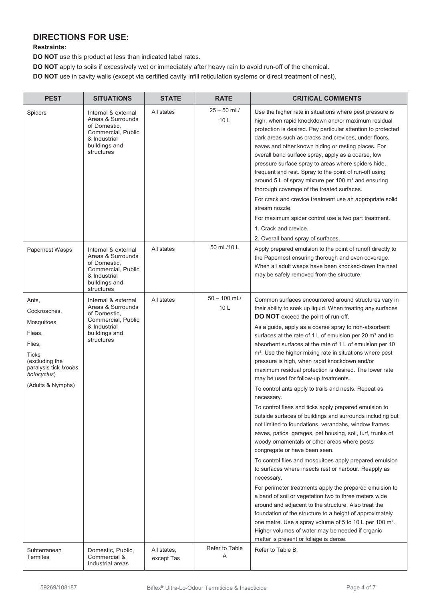# **DIRECTIONS FOR USE:**

**Restraints:** 

**DO NOT** use this product at less than indicated label rates.

**DO NOT** apply to soils if excessively wet or immediately after heavy rain to avoid run-off of the chemical.

**DO NOT** use in cavity walls (except via certified cavity infill reticulation systems or direct treatment of nest).

| <b>PEST</b>                                                                                                                                             | <b>SITUATIONS</b>                                                                                                             | <b>STATE</b>              | <b>RATE</b>                      | <b>CRITICAL COMMENTS</b>                                                                                                                                                                                                                                                                                                                                                                                                                                                                                                                                                                                                                                                                                                                                                                                                                                                                                                                                                                                                                                                                                                                                                                                                                                                                                                                                                                                                                                                                                                               |
|---------------------------------------------------------------------------------------------------------------------------------------------------------|-------------------------------------------------------------------------------------------------------------------------------|---------------------------|----------------------------------|----------------------------------------------------------------------------------------------------------------------------------------------------------------------------------------------------------------------------------------------------------------------------------------------------------------------------------------------------------------------------------------------------------------------------------------------------------------------------------------------------------------------------------------------------------------------------------------------------------------------------------------------------------------------------------------------------------------------------------------------------------------------------------------------------------------------------------------------------------------------------------------------------------------------------------------------------------------------------------------------------------------------------------------------------------------------------------------------------------------------------------------------------------------------------------------------------------------------------------------------------------------------------------------------------------------------------------------------------------------------------------------------------------------------------------------------------------------------------------------------------------------------------------------|
| Spiders                                                                                                                                                 | Internal & external<br>Areas & Surrounds<br>of Domestic,<br>Commercial, Public<br>& Industrial<br>buildings and<br>structures | All states                | $25 - 50$ mL/<br>10 <sub>L</sub> | Use the higher rate in situations where pest pressure is<br>high, when rapid knockdown and/or maximum residual<br>protection is desired. Pay particular attention to protected<br>dark areas such as cracks and crevices, under floors,<br>eaves and other known hiding or resting places. For<br>overall band surface spray, apply as a coarse, low<br>pressure surface spray to areas where spiders hide,<br>frequent and rest. Spray to the point of run-off using<br>around 5 L of spray mixture per 100 m <sup>2</sup> and ensuring<br>thorough coverage of the treated surfaces.<br>For crack and crevice treatment use an appropriate solid<br>stream nozzle.<br>For maximum spider control use a two part treatment.<br>1. Crack and crevice.<br>2. Overall band spray of surfaces.                                                                                                                                                                                                                                                                                                                                                                                                                                                                                                                                                                                                                                                                                                                                            |
| Papernest Wasps                                                                                                                                         | Internal & external<br>Areas & Surrounds<br>of Domestic,<br>Commercial, Public<br>& Industrial<br>buildings and<br>structures | All states                | 50 mL/10 L                       | Apply prepared emulsion to the point of runoff directly to<br>the Papernest ensuring thorough and even coverage.<br>When all adult wasps have been knocked-down the nest<br>may be safely removed from the structure.                                                                                                                                                                                                                                                                                                                                                                                                                                                                                                                                                                                                                                                                                                                                                                                                                                                                                                                                                                                                                                                                                                                                                                                                                                                                                                                  |
| Ants,<br>Cockroaches,<br>Mosquitoes,<br>Fleas,<br>Flies,<br><b>Ticks</b><br>(excluding the<br>paralysis tick Ixodes<br>holocyclus)<br>(Adults & Nymphs) | Internal & external<br>Areas & Surrounds<br>of Domestic,<br>Commercial, Public<br>& Industrial<br>buildings and<br>structures | All states                | $50 - 100$ mL/<br>10L            | Common surfaces encountered around structures vary in<br>their ability to soak up liquid. When treating any surfaces<br>DO NOT exceed the point of run-off.<br>As a guide, apply as a coarse spray to non-absorbent<br>surfaces at the rate of 1 L of emulsion per 20 m <sup>2</sup> and to<br>absorbent surfaces at the rate of 1 L of emulsion per 10<br>m <sup>2</sup> . Use the higher mixing rate in situations where pest<br>pressure is high, when rapid knockdown and/or<br>maximum residual protection is desired. The lower rate<br>may be used for follow-up treatments.<br>To control ants apply to trails and nests. Repeat as<br>necessary.<br>To control fleas and ticks apply prepared emulsion to<br>outside surfaces of buildings and surrounds including but<br>not limited to foundations, verandahs, window frames,<br>eaves, patios, garages, pet housing, soil, turf, trunks of<br>woody ornamentals or other areas where pests<br>congregate or have been seen.<br>To control flies and mosquitoes apply prepared emulsion<br>to surfaces where insects rest or harbour. Reapply as<br>necessary.<br>For perimeter treatments apply the prepared emulsion to<br>a band of soil or vegetation two to three meters wide<br>around and adjacent to the structure. Also treat the<br>foundation of the structure to a height of approximately<br>one metre. Use a spray volume of 5 to 10 L per 100 m <sup>2</sup> .<br>Higher volumes of water may be needed if organic<br>matter is present or foliage is dense. |
| Subterranean<br><b>Termites</b>                                                                                                                         | Domestic, Public,<br>Commercial &<br>Industrial areas                                                                         | All states,<br>except Tas | Refer to Table<br>Α              | Refer to Table B.                                                                                                                                                                                                                                                                                                                                                                                                                                                                                                                                                                                                                                                                                                                                                                                                                                                                                                                                                                                                                                                                                                                                                                                                                                                                                                                                                                                                                                                                                                                      |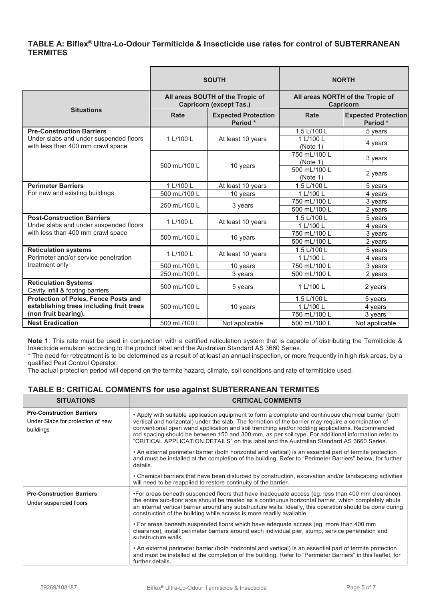## **TABLE A: Biflex® Ultra-Lo-Odour Termiticide & Insecticide use rates for control of SUBTERRANEAN TERMITES**

|                                                                             | <b>SOUTH</b>                                                       |                                        | <b>NORTH</b>                                         |                                        |
|-----------------------------------------------------------------------------|--------------------------------------------------------------------|----------------------------------------|------------------------------------------------------|----------------------------------------|
|                                                                             | All areas SOUTH of the Tropic of<br><b>Capricorn (except Tas.)</b> |                                        | All areas NORTH of the Tropic of<br><b>Capricorn</b> |                                        |
| <b>Situations</b>                                                           | Rate                                                               | <b>Expected Protection</b><br>Period * | Rate                                                 | <b>Expected Protection</b><br>Period * |
| <b>Pre-Construction Barriers</b>                                            | 11/1001                                                            | At least 10 years                      | 1.5 L/100 L                                          | 5 years                                |
| Under slabs and under suspended floors<br>with less than 400 mm crawl space |                                                                    |                                        | 11/1001<br>(Note 1)                                  | 4 years                                |
|                                                                             | 500 mL/100 L                                                       | 10 years                               | 750 ml /100 l<br>(Note 1)                            | 3 years                                |
|                                                                             |                                                                    |                                        | 500 mL/100 L<br>(Note 1)                             | 2 years                                |
| <b>Perimeter Barriers</b><br>For new and existing buildings                 | 1 L/100 L                                                          | At least 10 years                      | 1.5 L/100 L                                          | 5 years                                |
|                                                                             | 500 mL/100 L                                                       | 10 years                               | 1 L/100 L                                            | 4 years                                |
|                                                                             | 250 mL/100 L                                                       |                                        | 750 mL/100 L                                         | 3 years                                |
|                                                                             |                                                                    | 3 years                                | 500 mL/100 L                                         | 2 years                                |
| <b>Post-Construction Barriers</b>                                           | 1 L/100 L                                                          | At least 10 years                      | 1.5 L/100 L                                          | 5 years                                |
| Under slabs and under suspended floors                                      |                                                                    |                                        | 1 L/100 L                                            | 4 years                                |
| with less than 400 mm crawl space                                           | 500 mL/100 L                                                       | 10 years                               | 750 mL/100 L                                         | 3 years                                |
|                                                                             |                                                                    |                                        | 500 mL/100 L                                         | 2 years                                |
| <b>Reticulation systems</b>                                                 | 1 L/100 L                                                          | At least 10 years                      | 1.5 L/100 L                                          | 5 years                                |
| Perimeter and/or service penetration                                        |                                                                    |                                        | 1 L/100 L                                            | 4 years                                |
| treatment only                                                              | 500 mL/100 L                                                       | 10 years                               | 750 mL/100 L                                         | 3 years                                |
|                                                                             | 250 mL/100 L                                                       | 3 years                                | 500 mL/100 L                                         | 2 years                                |
| <b>Reticulation Systems</b><br>Cavity infill & footing barriers             | 500 mL/100 L                                                       | 5 years                                | 1 L/100 L                                            | 2 years                                |
| Protection of Poles, Fence Posts and                                        |                                                                    | 10 years                               | 1.5 L/100 L                                          | 5 years                                |
| establishing trees including fruit trees                                    | 500 mL/100 L                                                       |                                        | 1 L/100 L                                            | 4 years                                |
| (non fruit bearing).                                                        |                                                                    |                                        | 750 mL/100 L                                         | 3 years                                |
| <b>Nest Eradication</b>                                                     | 500 mL/100 L                                                       | Not applicable                         | 500 mL/100 L                                         | Not applicable                         |

**Note 1**: This rate must be used in conjunction with a certified reticulation system that is capable of distributing the Termiticide & Insecticide emulsion according to the product label and the Australian Standard AS 3660 Series.

\* The need for retreatment is to be determined as a result of at least an annual inspection, or more frequently in high risk areas, by a qualified Pest Control Operator.

The actual protection period will depend on the termite hazard, climate, soil conditions and rate of termiticide used.

### **TABLE B: CRITICAL COMMENTS for use against SUBTERRANEAN TERMITES**

| <b>SITUATIONS</b>                                                                  | <b>CRITICAL COMMENTS</b>                                                                                                                                                                                                                                                                                                                                                                                                                                                                                        |
|------------------------------------------------------------------------------------|-----------------------------------------------------------------------------------------------------------------------------------------------------------------------------------------------------------------------------------------------------------------------------------------------------------------------------------------------------------------------------------------------------------------------------------------------------------------------------------------------------------------|
| <b>Pre-Construction Barriers</b><br>Under Slabs for protection of new<br>buildings | • Apply with suitable application equipment to form a complete and continuous chemical barrier (both<br>vertical and horizontal) under the slab. The formation of the barrier may require a combination of<br>conventional open wand application and soil trenching and/or rodding applications. Recommended<br>rod spacing should be between 150 and 300 mm, as per soil type. For additional information refer to<br>"CRITICAL APPLICATION DETAILS" on this label and the Australian Standard AS 3660 Series. |
|                                                                                    | • An external perimeter barrier (both horizontal and vertical) is an essential part of termite protection<br>and must be installed at the completion of the building. Refer to "Perimeter Barriers" below, for further<br>details.                                                                                                                                                                                                                                                                              |
|                                                                                    | • Chemical barriers that have been disturbed by construction, excavation and/or landscaping activities<br>will need to be reapplied to restore continuity of the barrier.                                                                                                                                                                                                                                                                                                                                       |
| <b>Pre-Construction Barriers</b><br>Under suspended floors                         | •For areas beneath suspended floors that have inadequate access (eg. less than 400 mm clearance),<br>the entire sub-floor area should be treated as a continuous horizontal barrier, which completely abuts<br>an internal vertical barrier around any substructure walls. Ideally, this operation should be done during<br>construction of the building while access is more readily available.                                                                                                                |
|                                                                                    | • For areas beneath suspended floors which have adequate access (eg. more than 400 mm<br>clearance), install perimeter barriers around each individual pier, stump, service penetration and<br>substructure walls.                                                                                                                                                                                                                                                                                              |
|                                                                                    | • An external perimeter barrier (both horizontal and vertical) is an essential part of termite protection<br>and must be installed at the completion of the building. Refer to "Perimeter Barriers" in this leaflet, for<br>further details.                                                                                                                                                                                                                                                                    |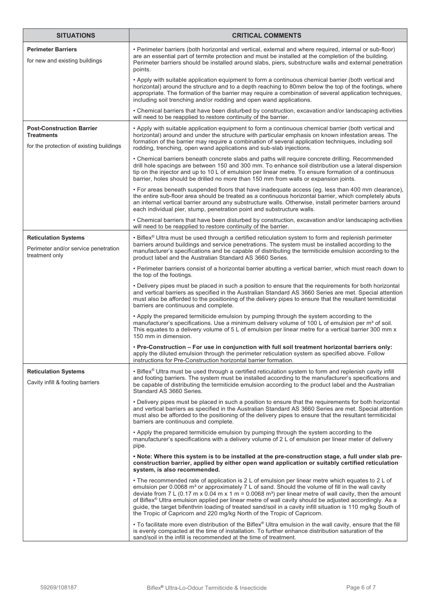| <b>SITUATIONS</b>                                                                          | <b>CRITICAL COMMENTS</b>                                                                                                                                                                                                                                                                                                                                                                                                                                                                                                                                                                                                                        |
|--------------------------------------------------------------------------------------------|-------------------------------------------------------------------------------------------------------------------------------------------------------------------------------------------------------------------------------------------------------------------------------------------------------------------------------------------------------------------------------------------------------------------------------------------------------------------------------------------------------------------------------------------------------------------------------------------------------------------------------------------------|
| <b>Perimeter Barriers</b><br>for new and existing buildings                                | • Perimeter barriers (both horizontal and vertical, external and where required, internal or sub-floor)<br>are an essential part of termite protection and must be installed at the completion of the building.<br>Perimeter barriers should be installed around slabs, piers, substructure walls and external penetration<br>points.                                                                                                                                                                                                                                                                                                           |
|                                                                                            | • Apply with suitable application equipment to form a continuous chemical barrier (both vertical and<br>horizontal) around the structure and to a depth reaching to 80mm below the top of the footings, where<br>appropriate. The formation of the barrier may require a combination of several application techniques,<br>including soil trenching and/or rodding and open wand applications.                                                                                                                                                                                                                                                  |
|                                                                                            | • Chemical barriers that have been disturbed by construction, excavation and/or landscaping activities<br>will need to be reapplied to restore continuity of the barrier.                                                                                                                                                                                                                                                                                                                                                                                                                                                                       |
| <b>Post-Construction Barrier</b><br>Treatments<br>for the protection of existing buildings | • Apply with suitable application equipment to form a continuous chemical barrier (both vertical and<br>horizontal) around and under the structure with particular emphasis on known infestation areas. The<br>formation of the barrier may require a combination of several application techniques, including soil<br>rodding, trenching, open wand applications and sub-slab injections.                                                                                                                                                                                                                                                      |
|                                                                                            | • Chemical barriers beneath concrete slabs and paths will require concrete drilling. Recommended<br>drill hole spacings are between 150 and 300 mm. To enhance soil distribution use a lateral dispersion<br>tip on the injector and up to 10 L of emulsion per linear metre. To ensure formation of a continuous<br>barrier, holes should be drilled no more than 150 mm from walls or expansion joints.                                                                                                                                                                                                                                       |
|                                                                                            | . For areas beneath suspended floors that have inadequate access (eq. less than 400 mm clearance).<br>the entire sub-floor area should be treated as a continuous horizontal barrier, which completely abuts<br>an internal vertical barrier around any substructure walls. Otherwise, install perimeter barriers around<br>each individual pier, stump, penetration point and substructure walls.                                                                                                                                                                                                                                              |
|                                                                                            | • Chemical barriers that have been disturbed by construction, excavation and/or landscaping activities<br>will need to be reapplied to restore continuity of the barrier.                                                                                                                                                                                                                                                                                                                                                                                                                                                                       |
| <b>Reticulation Systems</b><br>Perimeter and/or service penetration<br>treatment only      | • Biflex <sup>®</sup> Ultra must be used through a certified reticulation system to form and replenish perimeter<br>barriers around buildings and service penetrations. The system must be installed according to the<br>manufacturer's specifications and be capable of distributing the termiticide emulsion according to the<br>product label and the Australian Standard AS 3660 Series.                                                                                                                                                                                                                                                    |
|                                                                                            | • Perimeter barriers consist of a horizontal barrier abutting a vertical barrier, which must reach down to<br>the top of the footings.                                                                                                                                                                                                                                                                                                                                                                                                                                                                                                          |
|                                                                                            | • Delivery pipes must be placed in such a position to ensure that the requirements for both horizontal<br>and vertical barriers as specified in the Australian Standard AS 3660 Series are met. Special attention<br>must also be afforded to the positioning of the delivery pipes to ensure that the resultant termiticidal<br>barriers are continuous and complete.                                                                                                                                                                                                                                                                          |
|                                                                                            | • Apply the prepared termiticide emulsion by pumping through the system according to the<br>manufacturer's specifications. Use a minimum delivery volume of 100 L of emulsion per m <sup>3</sup> of soil.<br>This equates to a delivery volume of 5 L of emulsion per linear metre for a vertical barrier 300 mm x<br>150 mm in dimension.                                                                                                                                                                                                                                                                                                      |
|                                                                                            | . Pre-Construction - For use in conjunction with full soil treatment horizontal barriers only:<br>apply the diluted emulsion through the perimeter reticulation system as specified above. Follow<br>instructions for Pre-Construction horizontal barrier formation.                                                                                                                                                                                                                                                                                                                                                                            |
| <b>Reticulation Systems</b><br>Cavity infill & footing barriers                            | • Biflex <sup>®</sup> Ultra must be used through a certified reticulation system to form and replenish cavity infill<br>and footing barriers. The system must be installed according to the manufacturer's specifications and<br>be capable of distributing the termiticide emulsion according to the product label and the Australian<br>Standard AS 3660 Series.                                                                                                                                                                                                                                                                              |
|                                                                                            | • Delivery pipes must be placed in such a position to ensure that the requirements for both horizontal<br>and vertical barriers as specified in the Australian Standard AS 3660 Series are met. Special attention<br>must also be afforded to the positioning of the delivery pipes to ensure that the resultant termiticidal<br>barriers are continuous and complete.                                                                                                                                                                                                                                                                          |
|                                                                                            | • Apply the prepared termiticide emulsion by pumping through the system according to the<br>manufacturer's specifications with a delivery volume of 2 L of emulsion per linear meter of delivery<br>pipe.                                                                                                                                                                                                                                                                                                                                                                                                                                       |
|                                                                                            | . Note: Where this system is to be installed at the pre-construction stage, a full under slab pre-<br>construction barrier, applied by either open wand application or suitably certified reticulation<br>system, is also recommended.                                                                                                                                                                                                                                                                                                                                                                                                          |
|                                                                                            | • The recommended rate of application is 2 L of emulsion per linear metre which equates to 2 L of<br>emulsion per 0.0068 $m3$ or approximately 7 L of sand. Should the volume of fill in the wall cavity<br>deviate from 7 L (0.17 m x 0.04 m x 1 m = 0.0068 m <sup>3</sup> ) per linear metre of wall cavity, then the amount<br>of Biflex <sup>®</sup> Ultra emulsion applied per linear metre of wall cavity should be adjusted accordingly. As a<br>guide, the target bifenthrin loading of treated sand/soil in a cavity infill situation is 110 mg/kg South of<br>the Tropic of Capricorn and 220 mg/kg North of the Tropic of Capricorn. |
|                                                                                            | • To facilitate more even distribution of the Biflex® Ultra emulsion in the wall cavity, ensure that the fill<br>is evenly compacted at the time of installation. To further enhance distribution saturation of the<br>sand/soil in the infill is recommended at the time of treatment.                                                                                                                                                                                                                                                                                                                                                         |